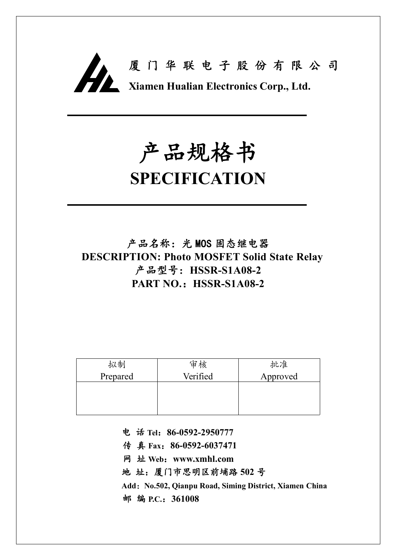

# **产品规格书**

## **SPECIFICATION**

**产品名称:光 MOS 固态继电器 DESCRIPTION: Photo MOSFET Solid State Relay 产品型号:HSSR-S1A08-2 PART NO.:HSSR-S1A08-2**

| 拟制       | 审核       | 批准       |
|----------|----------|----------|
| Prepared | Verified | Approved |
|          |          |          |
|          |          |          |
|          |          |          |

**电 话 Tel:86-0592-2950777**

**传 真 Fax:86-0592-6037471**

**网 址 Web:www.xmhl.com**

**地 址:厦门市思明区前埔路 502 号**

**Add:No.502, Qianpu Road, Siming District, Xiamen China 邮 编 P.C.:361008**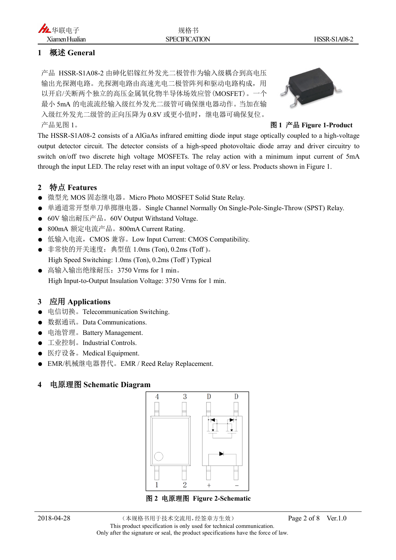#### **1 概述 General**

产品 HSSR-S1A08-2 由砷化铝镓红外发光二极管作为输入级耦合到高电压 输出光探测电路。光探测电路由高速光电二极管阵列和驱动电路构成,用 以开启/关断两个独立的高压金属氧化物半导体场效应管(MOSFET)。一个 最小 5mA 的电流流经输入级红外发光二级管可确保继电器动作。当加在输 入级红外发光二级管的正向压降为 0.8V 或更小值时,继电器可确保复位。 产品见图 1。 **图 1 产品 Figure 1-Product**



The HSSR-S1A08-2 consists of a AlGaAs infrared emitting diode input stage optically coupled to a high-voltage output detector circuit. The detector consists of a high-speed photovoltaic diode array and driver circuitry to switch on/off two discrete high voltage MOSFETs. The relay action with a minimum input current of 5mA through the input LED. The relay reset with an input voltage of 0.8V or less. Products shown in Figure 1.

#### **2 特点 Features**

- 微型光 MOS 固态继电器。Micro Photo MOSFET Solid State Relay.
- 单通道常开型单刀单掷继电器。Single Channel Normally On Single-Pole-Single-Throw (SPST) Relay.
- 60V 输出耐压产品。60V Output Withstand Voltage.
- 800mA 额定电流产品。800mA Current Rating.
- 低输入电流, CMOS 兼容。Low Input Current: CMOS Compatibility.
- 非常快的开关速度:典型值 1.0ms (Ton), 0.2ms (Toff )。 High Speed Switching: 1.0ms (Ton), 0.2ms (Toff ) Typical
- 高输入输出绝缘耐压: 3750 Vrms for 1 min。 High Input-to-Output Insulation Voltage: 3750 Vrms for 1 min.

#### **3 应用 Applications**

- 电信切换。Telecommunication Switching.
- 数据通讯。Data Communications.
- 电池管理。Battery Management.
- 工业控制。Industrial Controls.
- 医疗设备。Medical Equipment.
- **EMR/机械继电器替代。EMR / Reed Relay Replacement.**

#### **4 电原理图 Schematic Diagram**

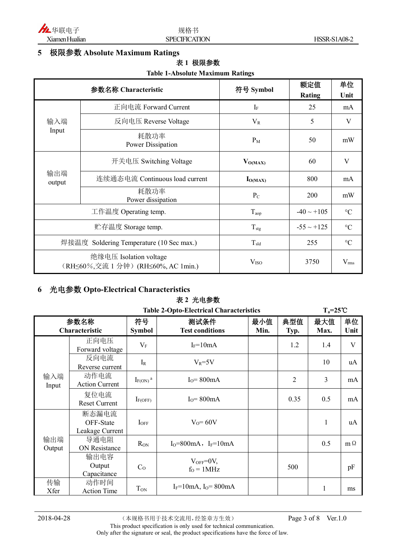

#### **5 极限参数 Absolute Maximum Ratings**

#### **表 1 极限参数**

#### **Table 1-Absolute Maximum Ratings**

| 参数名称 Characteristic                      |                                                               | 符号 Symbol        | 额定值             | 单位              |
|------------------------------------------|---------------------------------------------------------------|------------------|-----------------|-----------------|
|                                          |                                                               |                  | <b>Rating</b>   | Unit            |
|                                          | 正向电流 Forward Current                                          | $I_F$            | 25              | mA              |
| 输入端                                      | 反向电压 Reverse Voltage                                          | $V_{R}$          | 5               | V               |
| Input                                    | 耗散功率<br>Power Dissipation                                     | $P_M$            | 50              | mW              |
| 输出端<br>output                            | 开关电压 Switching Voltage                                        | $V_{O(MAX)}$     | 60              | V               |
|                                          | 连续通态电流 Continuous load current                                | $I_{O(MAX)}$     | 800             | mA              |
|                                          | 耗散功率<br>Power dissipation                                     | $P_{C}$          | 200             | mW              |
| 工作温度 Operating temp.                     |                                                               | $T_{\text{aop}}$ | $-40 \sim +105$ | $\rm ^{\circ}C$ |
| 贮存温度 Storage temp.                       |                                                               | $T_{\text{stg}}$ | $-55 \sim +125$ | $\rm ^{\circ}C$ |
| 焊接温度 Soldering Temperature (10 Sec max.) |                                                               | $T_{\rm sld}$    | 255             | $\rm ^{\circ}C$ |
|                                          | 绝缘电压 Isolation voltage<br>(RH≤60%,交流 1 分钟) (RH≤60%, AC 1min.) | V <sub>ISO</sub> | 3750            | $V_{\rm rms}$   |

#### **6 光电参数 Opto-Electrical Characteristics**

#### **表 2 光电参数**

| <b>Table 2-Opto-Electrical Characteristics</b> |                                       |                          |                                |             | $T_a = 25^{\circ}C$ |              |            |
|------------------------------------------------|---------------------------------------|--------------------------|--------------------------------|-------------|---------------------|--------------|------------|
| 参数名称<br>Characteristic                         |                                       | 符号<br><b>Symbol</b>      | 测试条件<br><b>Test conditions</b> | 最小值<br>Min. | 典型值<br>Typ.         | 最大值<br>Max.  | 单位<br>Unit |
|                                                | 正向电压<br>Forward voltage               | $V_{\rm F}$              | $I_F = 10mA$                   |             | 1.2                 | 1.4          | V          |
|                                                | 反向电流<br>Reverse current               | $I_R$                    | $V_R = 5V$                     |             |                     | 10           | uA         |
| 输入端<br>Input                                   | 动作电流<br><b>Action Current</b>         | $I_{F(ON)}$ <sup>a</sup> | $I0=800mA$                     |             | $\overline{2}$      | 3            | mA         |
|                                                | 复位电流<br><b>Reset Current</b>          | $I_{F(OFF)}$             | $I_0 = 800 \text{mA}$          |             | 0.35                | 0.5          | mA         |
|                                                | 断态漏电流<br>OFF-State<br>Leakage Current | $I_{OFF}$                | $V_0 = 60V$                    |             |                     | $\mathbf{1}$ | uA         |
| 输出端<br>Output                                  | 导通电阻<br><b>ON Resistance</b>          | R <sub>ON</sub>          | $I_0 = 800$ mA, $I_F = 10$ mA  |             |                     | 0.5          | $m \Omega$ |
|                                                | 输出电容<br>Output<br>Capacitance         | C <sub>o</sub>           | $V_{OFF}=0V$ ,<br>$fO = 1 MHz$ |             | 500                 |              | pF         |
| 传输<br>Xfer                                     | 动作时间<br><b>Action Time</b>            | T <sub>ON</sub>          | $I_F = 10mA$ , $I_O = 800mA$   |             |                     | 1            | ms         |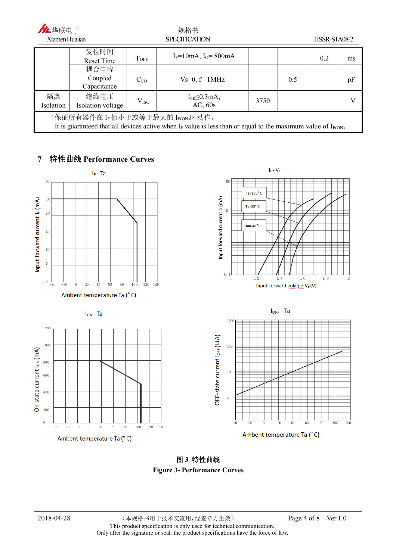| 九华联电子                                                                                                                                                     |                                |                      | 规格书                               |      |     |                     |    |
|-----------------------------------------------------------------------------------------------------------------------------------------------------------|--------------------------------|----------------------|-----------------------------------|------|-----|---------------------|----|
| Xiamen Hualian                                                                                                                                            |                                | <b>SPECIFICATION</b> |                                   |      |     | <b>HSSR-S1A08-2</b> |    |
|                                                                                                                                                           | 复位时间<br>Reset Time             | <b>TOFF</b>          | $I_F = 10mA$ , $I_O = 800mA$      |      |     | 0.2                 | ms |
|                                                                                                                                                           | 耦合电容<br>Coupled<br>Capacitance | C <sub>1</sub> /O    | $Vs=0, f=1MHz$                    |      | 0.5 |                     | pF |
| 隔离<br>Isolation                                                                                                                                           | 绝缘电压<br>Isolation voltage      | V <sub>ISO</sub>     | $I_{off} \leq 0.3$ mA,<br>AC, 60s | 3750 |     |                     |    |
| "保证所有器件在 IF 值小于或等于最大的 IF(ON)时动作。<br>It is guaranteed that all devices active when $I_F$ value is less than or equal to the maximum value of $I_{F(ON)}$ . |                                |                      |                                   |      |     |                     |    |

#### **7 特性曲线 Performance Curves**



**图 3 特性曲线 Figure 3- Performance Curves**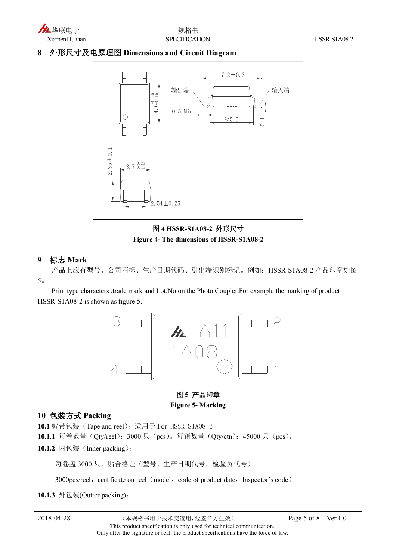

#### **8 外形尺寸及电原理图 Dimensions and Circuit Diagram**



**图 4 HSSR-S1A08-2 外形尺寸 Figure 4- The dimensions of HSSR-S1A08-2**

#### **9 标志 Mark**

产品上应有型号、公司商标、生产日期代码、引出端识别标记。例如:HSSR-S1A08-2 产品印章如图 5。

Print type characters ,trade mark and Lot.No.on the Photo Coupler.For example the marking of product HSSR-S1A08-2 is shown as figure 5.



#### **图 5 产品印章 Figure 5- Marking**

#### **10 包装方式 Packing**

**10.1** 编带包装(Tape and reel):适用于 For HSSR-S1A08-2 10.1.1 每卷数量(Qty/reel): 3000 只(pcs)。每箱数量(Qty/ctn): 45000 只(pcs)。

10.1.2 内包装 (Inner packing):

每卷盘 3000 只,贴合格证(型号、生产日期代号、检验员代号)。

3000pcs/reel, certificate on reel (model, code of product date, Inspector's code)

**10.1.3** 外包装(Outter packing):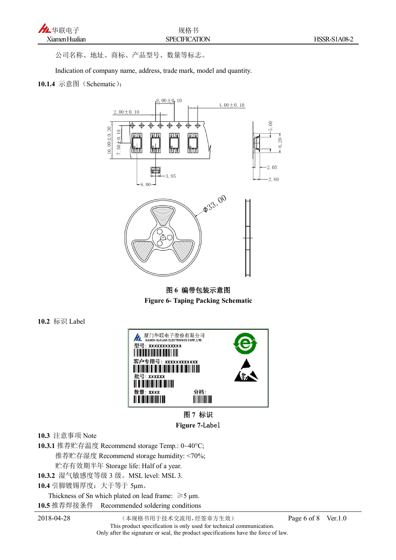

公司名称、地址、商标、产品型号、数量等标志。

Indication of company name, address, trade mark, model and quantity.

#### **10.1.4** 示意图(Schematic):



**图 6 编带包装示意图 Figure 6- Taping Packing Schematic**

**10.2** 标识 Label





**10.3** 注意事项 Note

**10.3.1** 推荐贮存温度 Recommend storage Temp.: 0~40°C; 推荐贮存湿度 Recommend storage humidity: <70%; 贮存有效期半年 Storage life: Half of a year. **10.3.2** 湿气敏感度等级 3 级。MSL level: MSL 3.

**10.4** 引脚镀锡厚度:大于等于 5μm。

Thickness of Sn which plated on lead frame:  $\geq 5$  µm. **10.5** 推荐焊接条件 Recommended soldering conditions

2018-04-28 (本规格书用于技术交流用,经签章方生效) Page 6 of 8 Ver.1.0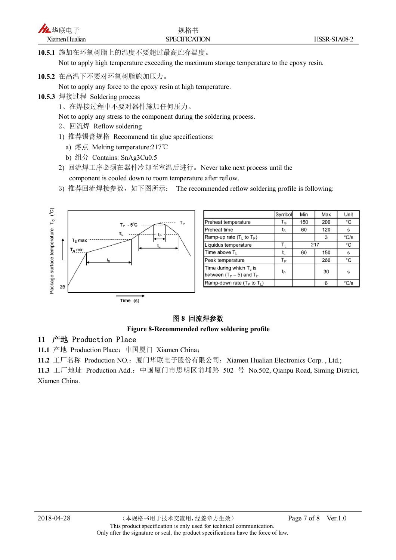**10.5.1** 施加在环氧树脂上的温度不要超过最高贮存温度。

Not to apply high temperature exceeding the maximum storage temperature to the epoxy resin.

**10.5.2** 在高温下不要对环氧树脂施加压力。

Not to apply any force to the epoxy resin at high temperature.

- **10.5.3** 焊接过程 Soldering process
	- 1、在焊接过程中不要对器件施加任何压力。

Not to apply any stress to the component during the soldering process.

- 2、回流焊 Reflow soldering
- 1) 推荐锡膏规格 Recommend tin glue specifications:
	- a) 熔点 Melting temperature:217℃
	- b) 组分 Contains: SnAg3Cu0.5
- 2) 回流焊工序必须在器件冷却至室温后进行。Never take next process until the component is cooled down to room temperature after reflow.
- 3) 推荐回流焊接参数,如下图所示: The recommended reflow soldering profile is following:



|                                                             | Symbol                  | Min | Max | Unit |
|-------------------------------------------------------------|-------------------------|-----|-----|------|
| Preheat temperature                                         | $\mathsf{T}_\mathsf{S}$ | 150 | 200 | °C   |
| Preheat time                                                | ts                      | 60  | 120 | s    |
| Ramp-up rate $(T_L$ to $T_P$ )                              |                         |     | 3   | °C/s |
| Liquidus temperature                                        | $T_{L}$                 | 217 |     | °C   |
| Time above T <sub>1</sub>                                   | t,                      | 60  | 150 | s    |
| Peak temperature                                            | Tр                      |     | 260 | °C   |
| Time during which $T_c$ is<br>between $(T_P - 5)$ and $T_P$ | tp                      |     | 30  | S    |
| Ramp-down rate $(T_P$ to $T_L$ )                            |                         |     | 6   | °C/s |

#### **图 8 回流焊参数**

#### **Figure 8-Recommended reflow soldering profile**

#### **11 产地 Production Place**

**11.1** 产地 Production Place:中国厦门 Xiamen China;

11.2 工厂名称 Production NO.: 厦门华联电子股份有限公司; Xiamen Hualian Electronics Corp., Ltd.;

11.3 工厂地址 Production Add.: 中国厦门市思明区前埔路 502 号 No.502, Qianpu Road, Siming District, Xiamen China.